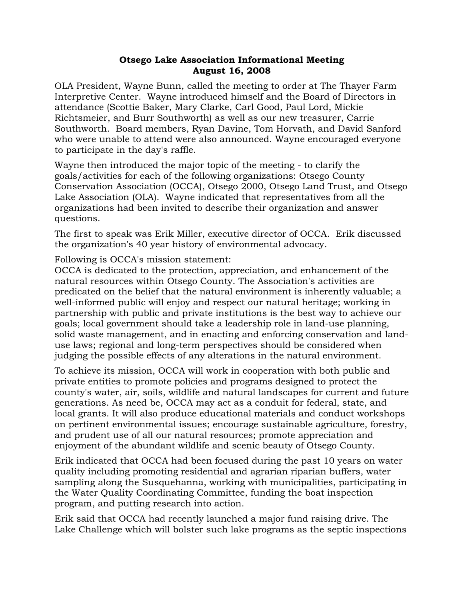## **Otsego Lake Association Informational Meeting August 16, 2008**

OLA President, Wayne Bunn, called the meeting to order at The Thayer Farm Interpretive Center. Wayne introduced himself and the Board of Directors in attendance (Scottie Baker, Mary Clarke, Carl Good, Paul Lord, Mickie Richtsmeier, and Burr Southworth) as well as our new treasurer, Carrie Southworth. Board members, Ryan Davine, Tom Horvath, and David Sanford who were unable to attend were also announced. Wayne encouraged everyone to participate in the day's raffle.

Wayne then introduced the major topic of the meeting - to clarify the goals/activities for each of the following organizations: Otsego County Conservation Association (OCCA), Otsego 2000, Otsego Land Trust, and Otsego Lake Association (OLA). Wayne indicated that representatives from all the organizations had been invited to describe their organization and answer questions.

The first to speak was Erik Miller, executive director of OCCA. Erik discussed the organization's 40 year history of environmental advocacy.

Following is OCCA's mission statement:

OCCA is dedicated to the protection, appreciation, and enhancement of the natural resources within Otsego County. The Association's activities are predicated on the belief that the natural environment is inherently valuable; a well-informed public will enjoy and respect our natural heritage; working in partnership with public and private institutions is the best way to achieve our goals; local government should take a leadership role in land-use planning, solid waste management, and in enacting and enforcing conservation and landuse laws; regional and long-term perspectives should be considered when judging the possible effects of any alterations in the natural environment.

To achieve its mission, OCCA will work in cooperation with both public and private entities to promote policies and programs designed to protect the county's water, air, soils, wildlife and natural landscapes for current and future generations. As need be, OCCA may act as a conduit for federal, state, and local grants. It will also produce educational materials and conduct workshops on pertinent environmental issues; encourage sustainable agriculture, forestry, and prudent use of all our natural resources; promote appreciation and enjoyment of the abundant wildlife and scenic beauty of Otsego County.

Erik indicated that OCCA had been focused during the past 10 years on water quality including promoting residential and agrarian riparian buffers, water sampling along the Susquehanna, working with municipalities, participating in the Water Quality Coordinating Committee, funding the boat inspection program, and putting research into action.

Erik said that OCCA had recently launched a major fund raising drive. The Lake Challenge which will bolster such lake programs as the septic inspections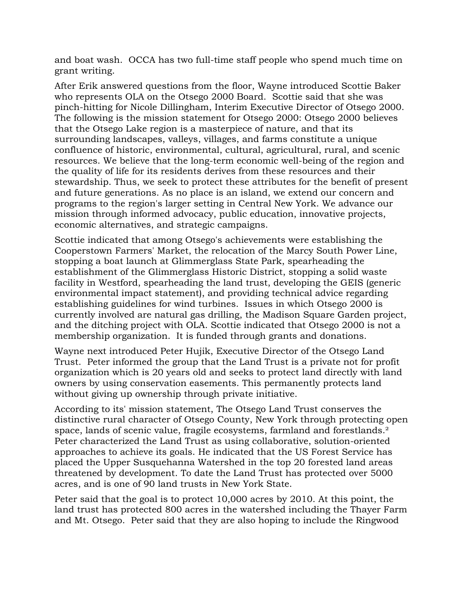and boat wash. OCCA has two full-time staff people who spend much time on grant writing.

After Erik answered questions from the floor, Wayne introduced Scottie Baker who represents OLA on the Otsego 2000 Board. Scottie said that she was pinch-hitting for Nicole Dillingham, Interim Executive Director of Otsego 2000. The following is the mission statement for Otsego 2000: Otsego 2000 believes that the Otsego Lake region is a masterpiece of nature, and that its surrounding landscapes, valleys, villages, and farms constitute a unique confluence of historic, environmental, cultural, agricultural, rural, and scenic resources. We believe that the long-term economic well-being of the region and the quality of life for its residents derives from these resources and their stewardship. Thus, we seek to protect these attributes for the benefit of present and future generations. As no place is an island, we extend our concern and programs to the region's larger setting in Central New York. We advance our mission through informed advocacy, public education, innovative projects, economic alternatives, and strategic campaigns.

Scottie indicated that among Otsego's achievements were establishing the Cooperstown Farmers' Market, the relocation of the Marcy South Power Line, stopping a boat launch at Glimmerglass State Park, spearheading the establishment of the Glimmerglass Historic District, stopping a solid waste facility in Westford, spearheading the land trust, developing the GEIS (generic environmental impact statement), and providing technical advice regarding establishing guidelines for wind turbines. Issues in which Otsego 2000 is currently involved are natural gas drilling, the Madison Square Garden project, and the ditching project with OLA. Scottie indicated that Otsego 2000 is not a membership organization. It is funded through grants and donations.

Wayne next introduced Peter Hujik, Executive Director of the Otsego Land Trust. Peter informed the group that the Land Trust is a private not for profit organization which is 20 years old and seeks to protect land directly with land owners by using conservation easements. This permanently protects land without giving up ownership through private initiative.

According to its' mission statement, The Otsego Land Trust conserves the distinctive rural character of Otsego County, New York through protecting open space, lands of scenic value, fragile ecosystems, farmland and forestlands.<sup>2</sup> Peter characterized the Land Trust as using collaborative, solution-oriented approaches to achieve its goals. He indicated that the US Forest Service has placed the Upper Susquehanna Watershed in the top 20 forested land areas threatened by development. To date the Land Trust has protected over 5000 acres, and is one of 90 land trusts in New York State.

Peter said that the goal is to protect 10,000 acres by 2010. At this point, the land trust has protected 800 acres in the watershed including the Thayer Farm and Mt. Otsego. Peter said that they are also hoping to include the Ringwood